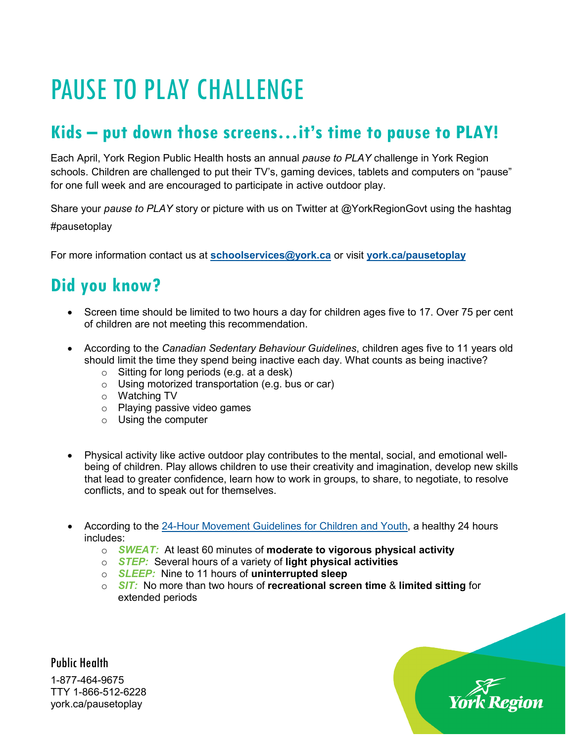## PAUSE TO PLAY CHALLENGE

## **Kids – put down those screens…it's time to pause to PLAY!**

Each April, York Region Public Health hosts an annual *pause to PLAY* challenge in York Region schools. Children are challenged to put their TV's, gaming devices, tablets and computers on "pause" for one full week and are encouraged to participate in active outdoor play.

Share your *pause to PLAY* story or picture with us on Twitter at @YorkRegionGovt using the hashtag #pausetoplay

For more information contact us at **[schoolservices@york.ca](mailto:schoolservices@york.ca)** or visit **[york.ca/pausetoplay](http://www.york.ca/pausetoplay)**

## **Did you know?**

- Screen time should be limited to two hours a day for children ages five to 17. Over 75 per cent of children are not meeting this recommendation.
- According to the *[Canadian Sedentary Behaviour Guidelines](http://www.csep.ca/CMFiles/Guidelines/CSEP_SBGuidelines_0-17_en.pdf)*, children ages five to 11 years old should limit the time they spend being inactive each day. What counts as being inactive?
	- o Sitting for long periods (e.g. at a desk)
	- o Using motorized transportation (e.g. bus or car)
	- o Watching TV
	- o Playing passive video games
	- o Using the computer
- Physical activity like active outdoor play contributes to the mental, social, and emotional wellbeing of children. Play allows children to use their creativity and imagination, develop new skills that lead to greater confidence, learn how to work in groups, to share, to negotiate, to resolve conflicts, and to speak out for themselves.
- According to the [24-Hour Movement Guidelines for Children and Youth,](https://indd.adobe.com/view/b82b4a90-6e46-4b1a-b628-d53805688baf) a healthy 24 hours includes:
	- o *SWEAT:* At least 60 minutes of **moderate to vigorous physical activity**
	- o *STEP:* Several hours of a variety of **light physical activities**
	- o *SLEEP:*Nine to 11 hours of **uninterrupted sleep**
	- o *SIT:* No more than two hours of **recreational screen time** & **limited sitting** for extended periods

Public Health 1-877-464-9675 TTY 1-866-512-6228 york.ca/pausetoplay